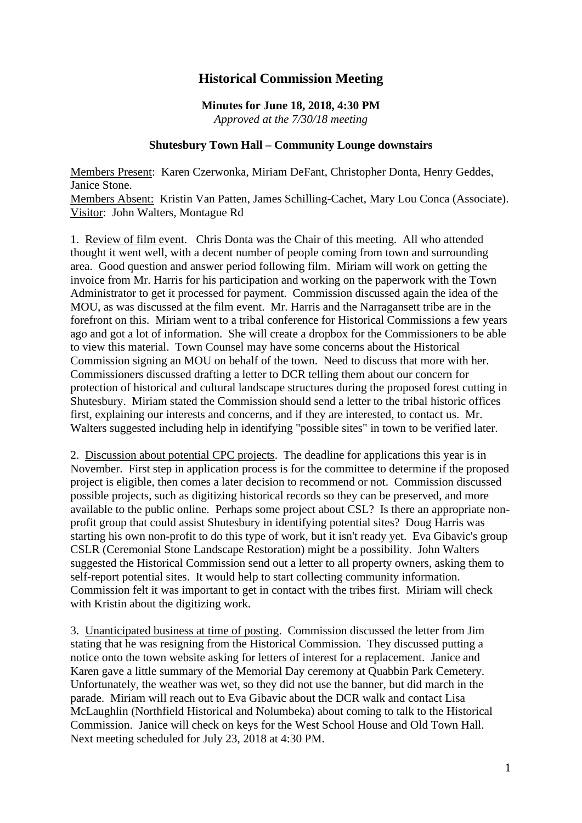## **Historical Commission Meeting**

## **Minutes for June 18, 2018, 4:30 PM** *Approved at the 7/30/18 meeting*

## **Shutesbury Town Hall – Community Lounge downstairs**

Members Present: Karen Czerwonka, Miriam DeFant, Christopher Donta, Henry Geddes, Janice Stone.

Members Absent: Kristin Van Patten, James Schilling-Cachet, Mary Lou Conca (Associate). Visitor: John Walters, Montague Rd

1. Review of film event. Chris Donta was the Chair of this meeting. All who attended thought it went well, with a decent number of people coming from town and surrounding area. Good question and answer period following film. Miriam will work on getting the invoice from Mr. Harris for his participation and working on the paperwork with the Town Administrator to get it processed for payment. Commission discussed again the idea of the MOU, as was discussed at the film event. Mr. Harris and the Narragansett tribe are in the forefront on this. Miriam went to a tribal conference for Historical Commissions a few years ago and got a lot of information. She will create a dropbox for the Commissioners to be able to view this material. Town Counsel may have some concerns about the Historical Commission signing an MOU on behalf of the town. Need to discuss that more with her. Commissioners discussed drafting a letter to DCR telling them about our concern for protection of historical and cultural landscape structures during the proposed forest cutting in Shutesbury. Miriam stated the Commission should send a letter to the tribal historic offices first, explaining our interests and concerns, and if they are interested, to contact us. Mr. Walters suggested including help in identifying "possible sites" in town to be verified later.

2. Discussion about potential CPC projects. The deadline for applications this year is in November. First step in application process is for the committee to determine if the proposed project is eligible, then comes a later decision to recommend or not. Commission discussed possible projects, such as digitizing historical records so they can be preserved, and more available to the public online. Perhaps some project about CSL? Is there an appropriate nonprofit group that could assist Shutesbury in identifying potential sites? Doug Harris was starting his own non-profit to do this type of work, but it isn't ready yet. Eva Gibavic's group CSLR (Ceremonial Stone Landscape Restoration) might be a possibility. John Walters suggested the Historical Commission send out a letter to all property owners, asking them to self-report potential sites. It would help to start collecting community information. Commission felt it was important to get in contact with the tribes first. Miriam will check with Kristin about the digitizing work.

3. Unanticipated business at time of posting. Commission discussed the letter from Jim stating that he was resigning from the Historical Commission. They discussed putting a notice onto the town website asking for letters of interest for a replacement. Janice and Karen gave a little summary of the Memorial Day ceremony at Quabbin Park Cemetery. Unfortunately, the weather was wet, so they did not use the banner, but did march in the parade. Miriam will reach out to Eva Gibavic about the DCR walk and contact Lisa McLaughlin (Northfield Historical and Nolumbeka) about coming to talk to the Historical Commission. Janice will check on keys for the West School House and Old Town Hall. Next meeting scheduled for July 23, 2018 at 4:30 PM.